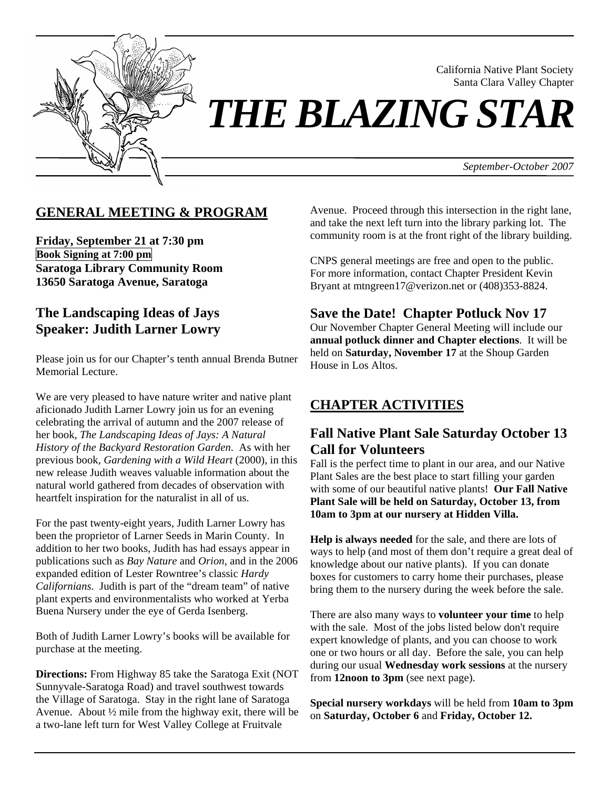

*THE BLAZING STAR* 

*September-October 2007*

California Native Plant Society Santa Clara Valley Chapter

# **GENERAL MEETING & PROGRAM**

**Friday, September 21 at 7:30 pm Book Signing at 7:00 pm Saratoga Library Community Room 13650 Saratoga Avenue, Saratoga** 

### **The Landscaping Ideas of Jays Speaker: Judith Larner Lowry**

Please join us for our Chapter's tenth annual Brenda Butner Memorial Lecture.

We are very pleased to have nature writer and native plant aficionado Judith Larner Lowry join us for an evening celebrating the arrival of autumn and the 2007 release of her book, *The Landscaping Ideas of Jays: A Natural History of the Backyard Restoration Garden*. As with her previous book, *Gardening with a Wild Heart* (2000), in this new release Judith weaves valuable information about the natural world gathered from decades of observation with heartfelt inspiration for the naturalist in all of us.

For the past twenty-eight years, Judith Larner Lowry has been the proprietor of Larner Seeds in Marin County. In addition to her two books, Judith has had essays appear in publications such as *Bay Nature* and *Orion*, and in the 2006 expanded edition of Lester Rowntree's classic *Hardy Californians*. Judith is part of the "dream team" of native plant experts and environmentalists who worked at Yerba Buena Nursery under the eye of Gerda Isenberg.

Both of Judith Larner Lowry's books will be available for purchase at the meeting.

**Directions:** From Highway 85 take the Saratoga Exit (NOT Sunnyvale-Saratoga Road) and travel southwest towards the Village of Saratoga. Stay in the right lane of Saratoga Avenue. About ½ mile from the highway exit, there will be a two-lane left turn for West Valley College at Fruitvale

Avenue. Proceed through this intersection in the right lane, and take the next left turn into the library parking lot. The community room is at the front right of the library building.

CNPS general meetings are free and open to the public. For more information, contact Chapter President Kevin Bryant at mtngreen17@verizon.net or (408)353-8824.

### **Save the Date! Chapter Potluck Nov 17**

Our November Chapter General Meeting will include our **annual potluck dinner and Chapter elections**. It will be held on **Saturday, November 17** at the Shoup Garden House in Los Altos.

# **CHAPTER ACTIVITIES**

# **Fall Native Plant Sale Saturday October 13 Call for Volunteers**

Fall is the perfect time to plant in our area, and our Native Plant Sales are the best place to start filling your garden with some of our beautiful native plants! **Our Fall Native Plant Sale will be held on Saturday, October 13, from 10am to 3pm at our nursery at Hidden Villa.**

**Help is always needed** for the sale, and there are lots of ways to help (and most of them don't require a great deal of knowledge about our native plants). If you can donate boxes for customers to carry home their purchases, please bring them to the nursery during the week before the sale.

There are also many ways to **volunteer your time** to help with the sale. Most of the jobs listed below don't require expert knowledge of plants, and you can choose to work one or two hours or all day. Before the sale, you can help during our usual **Wednesday work sessions** at the nursery from **12noon to 3pm** (see next page).

**Special nursery workdays** will be held from **10am to 3pm** on **Saturday, October 6** and **Friday, October 12.**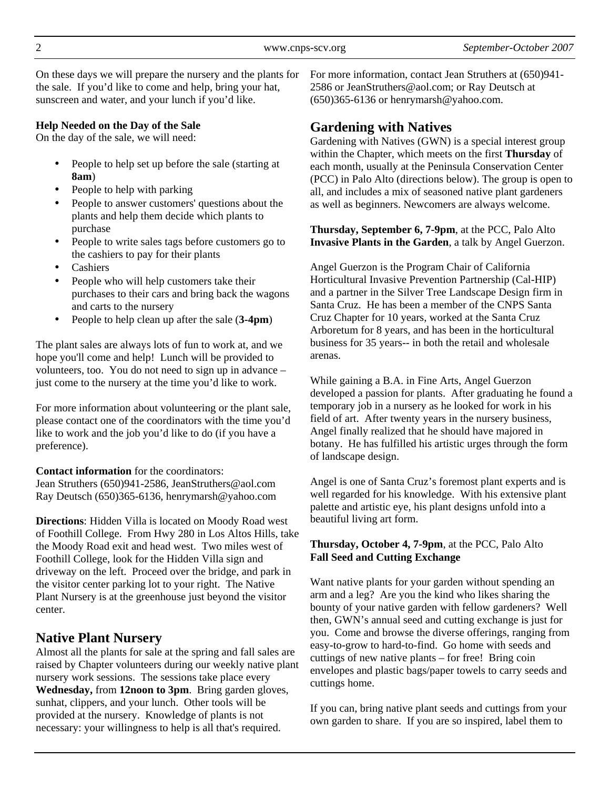On these days we will prepare the nursery and the plants for the sale. If you'd like to come and help, bring your hat, sunscreen and water, and your lunch if you'd like.

#### **Help Needed on the Day of the Sale**

On the day of the sale, we will need:

- People to help set up before the sale (starting at **8am**)
- People to help with parking
- People to answer customers' questions about the plants and help them decide which plants to purchase
- People to write sales tags before customers go to the cashiers to pay for their plants
- **Cashiers**
- People who will help customers take their purchases to their cars and bring back the wagons and carts to the nursery
- People to help clean up after the sale (**3-4pm**)

The plant sales are always lots of fun to work at, and we hope you'll come and help! Lunch will be provided to volunteers, too. You do not need to sign up in advance – just come to the nursery at the time you'd like to work.

For more information about volunteering or the plant sale, please contact one of the coordinators with the time you'd like to work and the job you'd like to do (if you have a preference).

**Contact information** for the coordinators:

Jean Struthers (650)941-2586, JeanStruthers@aol.com Ray Deutsch (650)365-6136, henrymarsh@yahoo.com

**Directions**: Hidden Villa is located on Moody Road west of Foothill College. From Hwy 280 in Los Altos Hills, take the Moody Road exit and head west. Two miles west of Foothill College, look for the Hidden Villa sign and driveway on the left. Proceed over the bridge, and park in the visitor center parking lot to your right. The Native Plant Nursery is at the greenhouse just beyond the visitor center.

# **Native Plant Nursery**

Almost all the plants for sale at the spring and fall sales are raised by Chapter volunteers during our weekly native plant nursery work sessions. The sessions take place every **Wednesday,** from **12noon to 3pm**. Bring garden gloves, sunhat, clippers, and your lunch. Other tools will be provided at the nursery. Knowledge of plants is not necessary: your willingness to help is all that's required.

For more information, contact Jean Struthers at (650)941- 2586 or JeanStruthers@aol.com; or Ray Deutsch at (650)365-6136 or henrymarsh@yahoo.com.

### **Gardening with Natives**

Gardening with Natives (GWN) is a special interest group within the Chapter, which meets on the first **Thursday** of each month, usually at the Peninsula Conservation Center (PCC) in Palo Alto (directions below). The group is open to all, and includes a mix of seasoned native plant gardeners as well as beginners. Newcomers are always welcome.

**Thursday, September 6, 7-9pm**, at the PCC, Palo Alto **Invasive Plants in the Garden**, a talk by Angel Guerzon.

Angel Guerzon is the Program Chair of California Horticultural Invasive Prevention Partnership (Cal-HIP) and a partner in the Silver Tree Landscape Design firm in Santa Cruz. He has been a member of the CNPS Santa Cruz Chapter for 10 years, worked at the Santa Cruz Arboretum for 8 years, and has been in the horticultural business for 35 years-- in both the retail and wholesale arenas.

While gaining a B.A. in Fine Arts, Angel Guerzon developed a passion for plants. After graduating he found a temporary job in a nursery as he looked for work in his field of art. After twenty years in the nursery business, Angel finally realized that he should have majored in botany. He has fulfilled his artistic urges through the form of landscape design.

Angel is one of Santa Cruz's foremost plant experts and is well regarded for his knowledge. With his extensive plant palette and artistic eye, his plant designs unfold into a beautiful living art form.

#### **Thursday, October 4, 7-9pm**, at the PCC, Palo Alto **Fall Seed and Cutting Exchange**

Want native plants for your garden without spending an arm and a leg? Are you the kind who likes sharing the bounty of your native garden with fellow gardeners? Well then, GWN's annual seed and cutting exchange is just for you. Come and browse the diverse offerings, ranging from easy-to-grow to hard-to-find. Go home with seeds and cuttings of new native plants – for free! Bring coin envelopes and plastic bags/paper towels to carry seeds and cuttings home.

If you can, bring native plant seeds and cuttings from your own garden to share. If you are so inspired, label them to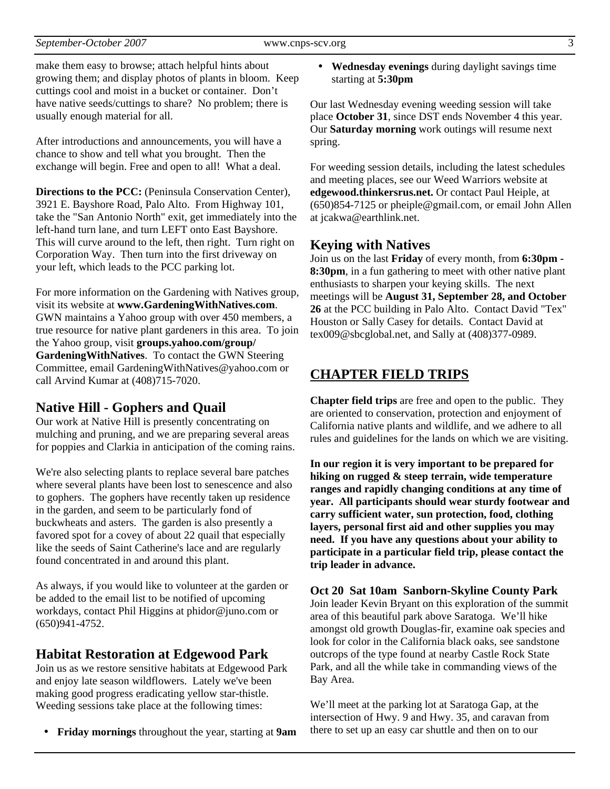make them easy to browse; attach helpful hints about growing them; and display photos of plants in bloom. Keep cuttings cool and moist in a bucket or container. Don't have native seeds/cuttings to share? No problem; there is usually enough material for all.

After introductions and announcements, you will have a chance to show and tell what you brought. Then the exchange will begin. Free and open to all! What a deal.

**Directions to the PCC:** (Peninsula Conservation Center), 3921 E. Bayshore Road, Palo Alto. From Highway 101, take the "San Antonio North" exit, get immediately into the left-hand turn lane, and turn LEFT onto East Bayshore. This will curve around to the left, then right. Turn right on Corporation Way. Then turn into the first driveway on your left, which leads to the PCC parking lot.

For more information on the Gardening with Natives group, visit its website at **www.GardeningWithNatives.com**. GWN maintains a Yahoo group with over 450 members, a true resource for native plant gardeners in this area. To join the Yahoo group, visit **groups.yahoo.com/group/ GardeningWithNatives**. To contact the GWN Steering Committee, email GardeningWithNatives@yahoo.com or call Arvind Kumar at (408)715-7020.

### **Native Hill - Gophers and Quail**

Our work at Native Hill is presently concentrating on mulching and pruning, and we are preparing several areas for poppies and Clarkia in anticipation of the coming rains.

We're also selecting plants to replace several bare patches where several plants have been lost to senescence and also to gophers. The gophers have recently taken up residence in the garden, and seem to be particularly fond of buckwheats and asters. The garden is also presently a favored spot for a covey of about 22 quail that especially like the seeds of Saint Catherine's lace and are regularly found concentrated in and around this plant.

As always, if you would like to volunteer at the garden or be added to the email list to be notified of upcoming workdays, contact Phil Higgins at phidor@juno.com or (650)941-4752.

### **Habitat Restoration at Edgewood Park**

Join us as we restore sensitive habitats at Edgewood Park and enjoy late season wildflowers. Lately we've been making good progress eradicating yellow star-thistle. Weeding sessions take place at the following times:

• **Friday mornings** throughout the year, starting at **9am**

• **Wednesday evenings** during daylight savings time starting at **5:30pm**

Our last Wednesday evening weeding session will take place **October 31**, since DST ends November 4 this year. Our **Saturday morning** work outings will resume next spring.

For weeding session details, including the latest schedules and meeting places, see our Weed Warriors website at **edgewood.thinkersrus.net.** Or contact Paul Heiple, at (650)854-7125 or pheiple@gmail.com, or email John Allen at jcakwa@earthlink.net.

### **Keying with Natives**

Join us on the last **Friday** of every month, from **6:30pm - 8:30pm**, in a fun gathering to meet with other native plant enthusiasts to sharpen your keying skills. The next meetings will be **August 31, September 28, and October 26** at the PCC building in Palo Alto. Contact David "Tex" Houston or Sally Casey for details. Contact David at tex009@sbcglobal.net, and Sally at (408)377-0989.

# **CHAPTER FIELD TRIPS**

**Chapter field trips** are free and open to the public. They are oriented to conservation, protection and enjoyment of California native plants and wildlife, and we adhere to all rules and guidelines for the lands on which we are visiting.

**In our region it is very important to be prepared for hiking on rugged & steep terrain, wide temperature ranges and rapidly changing conditions at any time of year. All participants should wear sturdy footwear and carry sufficient water, sun protection, food, clothing layers, personal first aid and other supplies you may need. If you have any questions about your ability to participate in a particular field trip, please contact the trip leader in advance.** 

**Oct 20 Sat 10am Sanborn-Skyline County Park**  Join leader Kevin Bryant on this exploration of the summit area of this beautiful park above Saratoga. We'll hike amongst old growth Douglas-fir, examine oak species and look for color in the California black oaks, see sandstone outcrops of the type found at nearby Castle Rock State Park, and all the while take in commanding views of the Bay Area.

We'll meet at the parking lot at Saratoga Gap, at the intersection of Hwy. 9 and Hwy. 35, and caravan from there to set up an easy car shuttle and then on to our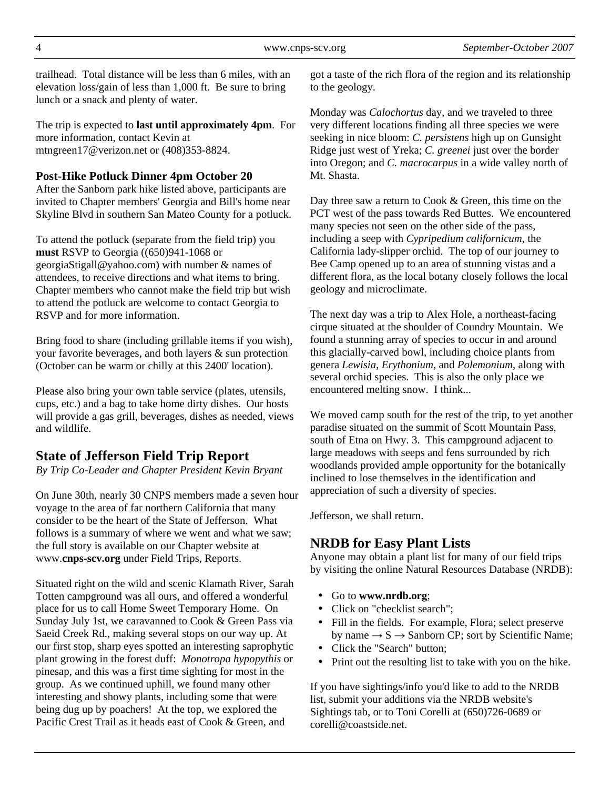trailhead. Total distance will be less than 6 miles, with an elevation loss/gain of less than 1,000 ft. Be sure to bring lunch or a snack and plenty of water.

The trip is expected to **last until approximately 4pm**. For more information, contact Kevin at mtngreen17@verizon.net or (408)353-8824.

### **Post-Hike Potluck Dinner 4pm October 20**

After the Sanborn park hike listed above, participants are invited to Chapter members' Georgia and Bill's home near Skyline Blvd in southern San Mateo County for a potluck.

To attend the potluck (separate from the field trip) you **must** RSVP to Georgia ((650)941-1068 or georgiaStigall@yahoo.com) with number & names of attendees, to receive directions and what items to bring. Chapter members who cannot make the field trip but wish to attend the potluck are welcome to contact Georgia to RSVP and for more information.

Bring food to share (including grillable items if you wish), your favorite beverages, and both layers & sun protection (October can be warm or chilly at this 2400' location).

Please also bring your own table service (plates, utensils, cups, etc.) and a bag to take home dirty dishes. Our hosts will provide a gas grill, beverages, dishes as needed, views and wildlife.

# **State of Jefferson Field Trip Report**

*By Trip Co-Leader and Chapter President Kevin Bryant* 

On June 30th, nearly 30 CNPS members made a seven hour voyage to the area of far northern California that many consider to be the heart of the State of Jefferson. What follows is a summary of where we went and what we saw; the full story is available on our Chapter website at www.**cnps-scv.org** under Field Trips, Reports.

Situated right on the wild and scenic Klamath River, Sarah Totten campground was all ours, and offered a wonderful place for us to call Home Sweet Temporary Home. On Sunday July 1st, we caravanned to Cook & Green Pass via Saeid Creek Rd., making several stops on our way up. At our first stop, sharp eyes spotted an interesting saprophytic plant growing in the forest duff: *Monotropa hypopythis* or pinesap, and this was a first time sighting for most in the group. As we continued uphill, we found many other interesting and showy plants, including some that were being dug up by poachers! At the top, we explored the Pacific Crest Trail as it heads east of Cook & Green, and

got a taste of the rich flora of the region and its relationship to the geology.

Monday was *Calochortus* day, and we traveled to three very different locations finding all three species we were seeking in nice bloom: *C. persistens* high up on Gunsight Ridge just west of Yreka; *C. greenei* just over the border into Oregon; and *C. macrocarpus* in a wide valley north of Mt. Shasta.

Day three saw a return to Cook & Green, this time on the PCT west of the pass towards Red Buttes. We encountered many species not seen on the other side of the pass, including a seep with *Cypripedium californicum*, the California lady-slipper orchid. The top of our journey to Bee Camp opened up to an area of stunning vistas and a different flora, as the local botany closely follows the local geology and microclimate.

The next day was a trip to Alex Hole, a northeast-facing cirque situated at the shoulder of Coundry Mountain. We found a stunning array of species to occur in and around this glacially-carved bowl, including choice plants from genera *Lewisia, Erythonium*, and *Polemonium*, along with several orchid species. This is also the only place we encountered melting snow. I think...

We moved camp south for the rest of the trip, to yet another paradise situated on the summit of Scott Mountain Pass, south of Etna on Hwy. 3. This campground adjacent to large meadows with seeps and fens surrounded by rich woodlands provided ample opportunity for the botanically inclined to lose themselves in the identification and appreciation of such a diversity of species.

Jefferson, we shall return.

# **NRDB for Easy Plant Lists**

Anyone may obtain a plant list for many of our field trips by visiting the online Natural Resources Database (NRDB):

- Go to **www.nrdb.org**;
- Click on "checklist search";
- Fill in the fields. For example, Flora; select preserve by name  $\rightarrow$  S  $\rightarrow$  Sanborn CP; sort by Scientific Name;
- Click the "Search" button;
- Print out the resulting list to take with you on the hike.

If you have sightings/info you'd like to add to the NRDB list, submit your additions via the NRDB website's Sightings tab, or to Toni Corelli at (650)726-0689 or corelli@coastside.net.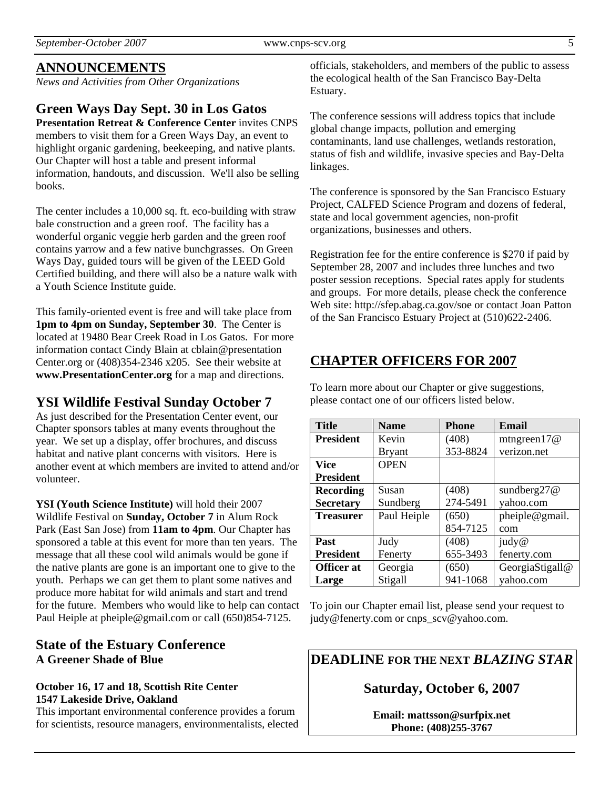*September-October 2007* www.cnps-scv.org 5

# **ANNOUNCEMENTS**

*News and Activities from Other Organizations*

### **Green Ways Day Sept. 30 in Los Gatos**

**Presentation Retreat & Conference Center** invites CNPS members to visit them for a Green Ways Day, an event to highlight organic gardening, beekeeping, and native plants. Our Chapter will host a table and present informal information, handouts, and discussion. We'll also be selling books.

The center includes a 10,000 sq. ft. eco-building with straw bale construction and a green roof. The facility has a wonderful organic veggie herb garden and the green roof contains yarrow and a few native bunchgrasses. On Green Ways Day, guided tours will be given of the LEED Gold Certified building, and there will also be a nature walk with a Youth Science Institute guide.

This family-oriented event is free and will take place from **1pm to 4pm on Sunday, September 30**. The Center is located at 19480 Bear Creek Road in Los Gatos. For more information contact Cindy Blain at cblain@presentation Center.org or (408)354-2346 x205. See their website at **www.PresentationCenter.org** for a map and directions.

# **YSI Wildlife Festival Sunday October 7**

As just described for the Presentation Center event, our Chapter sponsors tables at many events throughout the year. We set up a display, offer brochures, and discuss habitat and native plant concerns with visitors. Here is another event at which members are invited to attend and/or volunteer.

**YSI (Youth Science Institute)** will hold their 2007 Wildlife Festival on **Sunday, October 7** in Alum Rock Park (East San Jose) from **11am to 4pm**. Our Chapter has sponsored a table at this event for more than ten years. The message that all these cool wild animals would be gone if the native plants are gone is an important one to give to the youth. Perhaps we can get them to plant some natives and produce more habitat for wild animals and start and trend for the future. Members who would like to help can contact Paul Heiple at pheiple@gmail.com or call (650)854-7125.

### **State of the Estuary Conference A Greener Shade of Blue**

#### **October 16, 17 and 18, Scottish Rite Center 1547 Lakeside Drive, Oakland**

This important environmental conference provides a forum for scientists, resource managers, environmentalists, elected officials, stakeholders, and members of the public to assess the ecological health of the San Francisco Bay-Delta Estuary.

The conference sessions will address topics that include global change impacts, pollution and emerging contaminants, land use challenges, wetlands restoration, status of fish and wildlife, invasive species and Bay-Delta linkages.

The conference is sponsored by the San Francisco Estuary Project, CALFED Science Program and dozens of federal, state and local government agencies, non-profit organizations, businesses and others.

Registration fee for the entire conference is \$270 if paid by September 28, 2007 and includes three lunches and two poster session receptions. Special rates apply for students and groups. For more details, please check the conference Web site: http://sfep.abag.ca.gov/soe or contact Joan Patton of the San Francisco Estuary Project at (510)622-2406.

# **CHAPTER OFFICERS FOR 2007**

To learn more about our Chapter or give suggestions, please contact one of our officers listed below.

| <b>Title</b>      | <b>Name</b>   | <b>Phone</b> | Email           |
|-------------------|---------------|--------------|-----------------|
| <b>President</b>  | Kevin         | (408)        | mtngreen $17@$  |
|                   | <b>Bryant</b> | 353-8824     | verizon.net     |
| Vice              | <b>OPEN</b>   |              |                 |
| <b>President</b>  |               |              |                 |
| <b>Recording</b>  | Susan         | (408)        | sundberg $27@$  |
| <b>Secretary</b>  | Sundberg      | 274-5491     | yahoo.com       |
| <b>Treasurer</b>  | Paul Heiple   | (650)        | pheiple@gmail.  |
|                   |               | 854-7125     | com             |
| Past              | Judy          | (408)        | judy@           |
| <b>President</b>  | Fenerty       | 655-3493     | fenerty.com     |
| <b>Officer</b> at | Georgia       | (650)        | GeorgiaStigall@ |
| Large             | Stigall       | 941-1068     | yahoo.com       |

To join our Chapter email list, please send your request to judy@fenerty.com or cnps\_scv@yahoo.com.

**DEADLINE FOR THE NEXT** *BLAZING STAR* 

### **Saturday, October 6, 2007**

**Email: mattsson@surfpix.net Phone: (408)255-3767**